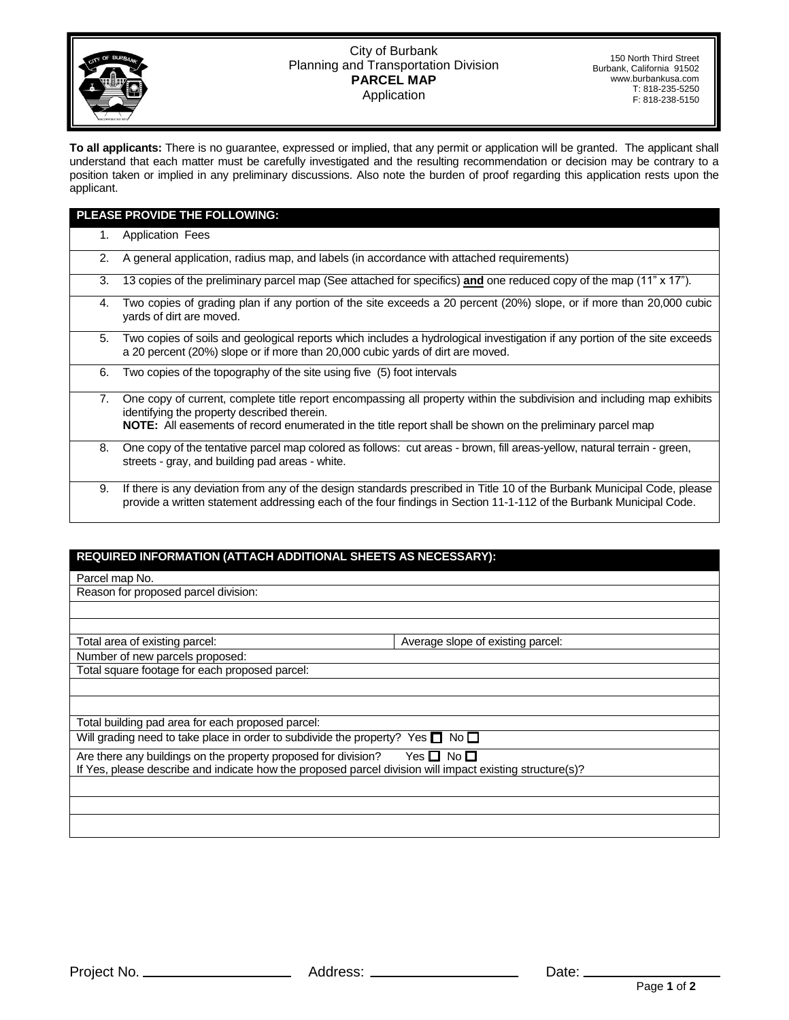

## City of Burbank Planning and Transportation Division **PARCEL MAP** Application

150 North Third Street Burbank, California 91502 www.burbankusa.com T: 818-235-5250 F: 818-238-5150

**To all applicants:** There is no guarantee, expressed or implied, that any permit or application will be granted. The applicant shall understand that each matter must be carefully investigated and the resulting recommendation or decision may be contrary to a position taken or implied in any preliminary discussions. Also note the burden of proof regarding this application rests upon the applicant.

| <b>PLEASE PROVIDE THE FOLLOWING:</b> |                                                                                                                                                                                                                                                                                    |  |
|--------------------------------------|------------------------------------------------------------------------------------------------------------------------------------------------------------------------------------------------------------------------------------------------------------------------------------|--|
| 1.                                   | <b>Application Fees</b>                                                                                                                                                                                                                                                            |  |
| 2.                                   | A general application, radius map, and labels (in accordance with attached requirements)                                                                                                                                                                                           |  |
| 3.                                   | 13 copies of the preliminary parcel map (See attached for specifics) and one reduced copy of the map (11" x 17").                                                                                                                                                                  |  |
| 4.                                   | Two copies of grading plan if any portion of the site exceeds a 20 percent (20%) slope, or if more than 20,000 cubic<br>yards of dirt are moved.                                                                                                                                   |  |
| 5.                                   | Two copies of soils and geological reports which includes a hydrological investigation if any portion of the site exceeds<br>a 20 percent (20%) slope or if more than 20,000 cubic yards of dirt are moved.                                                                        |  |
| 6.                                   | Two copies of the topography of the site using five (5) foot intervals                                                                                                                                                                                                             |  |
| 7.                                   | One copy of current, complete title report encompassing all property within the subdivision and including map exhibits<br>identifying the property described therein.<br>NOTE: All easements of record enumerated in the title report shall be shown on the preliminary parcel map |  |
| 8.                                   | One copy of the tentative parcel map colored as follows: cut areas - brown, fill areas-yellow, natural terrain - green,<br>streets - gray, and building pad areas - white.                                                                                                         |  |
| 9.                                   | If there is any deviation from any of the design standards prescribed in Title 10 of the Burbank Municipal Code, please<br>provide a written statement addressing each of the four findings in Section 11-1-112 of the Burbank Municipal Code.                                     |  |

## **REQUIRED INFORMATION (ATTACH ADDITIONAL SHEETS AS NECESSARY):**

| Parcel map No.                                                                                                                                                                           |                                   |  |  |
|------------------------------------------------------------------------------------------------------------------------------------------------------------------------------------------|-----------------------------------|--|--|
| Reason for proposed parcel division:                                                                                                                                                     |                                   |  |  |
|                                                                                                                                                                                          |                                   |  |  |
|                                                                                                                                                                                          |                                   |  |  |
| Total area of existing parcel:                                                                                                                                                           | Average slope of existing parcel: |  |  |
| Number of new parcels proposed:                                                                                                                                                          |                                   |  |  |
| Total square footage for each proposed parcel:                                                                                                                                           |                                   |  |  |
|                                                                                                                                                                                          |                                   |  |  |
|                                                                                                                                                                                          |                                   |  |  |
| Total building pad area for each proposed parcel:                                                                                                                                        |                                   |  |  |
| Will grading need to take place in order to subdivide the property? Yes $\square$ No $\square$                                                                                           |                                   |  |  |
| Are there any buildings on the property proposed for division?<br>Yes 囗 No 囗<br>If Yes, please describe and indicate how the proposed parcel division will impact existing structure(s)? |                                   |  |  |
|                                                                                                                                                                                          |                                   |  |  |
|                                                                                                                                                                                          |                                   |  |  |
|                                                                                                                                                                                          |                                   |  |  |